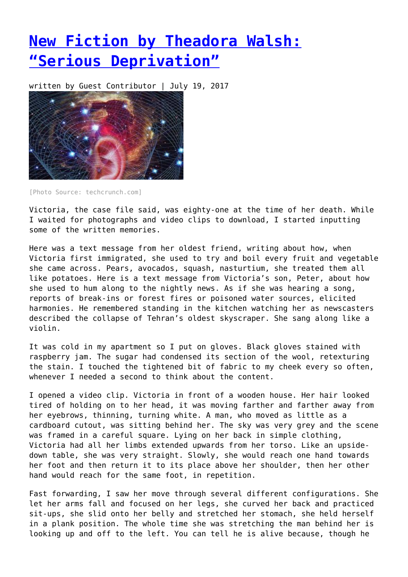## **[New Fiction by Theadora Walsh:](https://entropymag.org/new-fiction-by-theadora-walsh-serious-deprivation/) ["Serious Deprivation"](https://entropymag.org/new-fiction-by-theadora-walsh-serious-deprivation/)**

written by Guest Contributor | July 19, 2017



[Photo Source: techcrunch.com]

Victoria, the case file said, was eighty-one at the time of her death. While I waited for photographs and video clips to download, I started inputting some of the written memories.

Here was a text message from her oldest friend, writing about how, when Victoria first immigrated, she used to try and boil every fruit and vegetable she came across. Pears, avocados, squash, nasturtium, she treated them all like potatoes. Here is a text message from Victoria's son, Peter, about how she used to hum along to the nightly news. As if she was hearing a song, reports of break-ins or forest fires or poisoned water sources, elicited harmonies. He remembered standing in the kitchen watching her as newscasters described the collapse of Tehran's oldest skyscraper. She sang along like a violin.

It was cold in my apartment so I put on gloves. Black gloves stained with raspberry jam. The sugar had condensed its section of the wool, retexturing the stain. I touched the tightened bit of fabric to my cheek every so often, whenever I needed a second to think about the content.

I opened a video clip. Victoria in front of a wooden house. Her hair looked tired of holding on to her head, it was moving farther and farther away from her eyebrows, thinning, turning white. A man, who moved as little as a cardboard cutout, was sitting behind her. The sky was very grey and the scene was framed in a careful square. Lying on her back in simple clothing, Victoria had all her limbs extended upwards from her torso. Like an upsidedown table, she was very straight. Slowly, she would reach one hand towards her foot and then return it to its place above her shoulder, then her other hand would reach for the same foot, in repetition.

Fast forwarding, I saw her move through several different configurations. She let her arms fall and focused on her legs, she curved her back and practiced sit-ups, she slid onto her belly and stretched her stomach, she held herself in a plank position. The whole time she was stretching the man behind her is looking up and off to the left. You can tell he is alive because, though he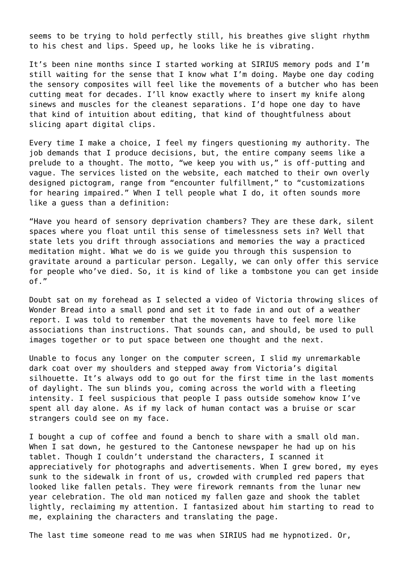seems to be trying to hold perfectly still, his breathes give slight rhythm to his chest and lips. Speed up, he looks like he is vibrating.

It's been nine months since I started working at SIRIUS memory pods and I'm still waiting for the sense that I know what I'm doing. Maybe one day coding the sensory composites will feel like the movements of a butcher who has been cutting meat for decades. I'll know exactly where to insert my knife along sinews and muscles for the cleanest separations. I'd hope one day to have that kind of intuition about editing, that kind of thoughtfulness about slicing apart digital clips.

Every time I make a choice, I feel my fingers questioning my authority. The job demands that I produce decisions, but, the entire company seems like a prelude to a thought. The motto, "we keep you with us," is off-putting and vague. The services listed on the website, each matched to their own overly designed pictogram, range from "encounter fulfillment," to "customizations for hearing impaired." When I tell people what I do, it often sounds more like a guess than a definition:

"Have you heard of sensory deprivation chambers? They are these dark, silent spaces where you float until this sense of timelessness sets in? Well that state lets you drift through associations and memories the way a practiced meditation might. What we do is we guide you through this suspension to gravitate around a particular person. Legally, we can only offer this service for people who've died. So, it is kind of like a tombstone you can get inside of."

Doubt sat on my forehead as I selected a video of Victoria throwing slices of Wonder Bread into a small pond and set it to fade in and out of a weather report. I was told to remember that the movements have to feel more like associations than instructions. That sounds can, and should, be used to pull images together or to put space between one thought and the next.

Unable to focus any longer on the computer screen, I slid my unremarkable dark coat over my shoulders and stepped away from Victoria's digital silhouette. It's always odd to go out for the first time in the last moments of daylight. The sun blinds you, coming across the world with a fleeting intensity. I feel suspicious that people I pass outside somehow know I've spent all day alone. As if my lack of human contact was a bruise or scar strangers could see on my face.

I bought a cup of coffee and found a bench to share with a small old man. When I sat down, he gestured to the Cantonese newspaper he had up on his tablet. Though I couldn't understand the characters, I scanned it appreciatively for photographs and advertisements. When I grew bored, my eyes sunk to the sidewalk in front of us, crowded with crumpled red papers that looked like fallen petals. They were firework remnants from the lunar new year celebration. The old man noticed my fallen gaze and shook the tablet lightly, reclaiming my attention. I fantasized about him starting to read to me, explaining the characters and translating the page.

The last time someone read to me was when SIRIUS had me hypnotized. Or,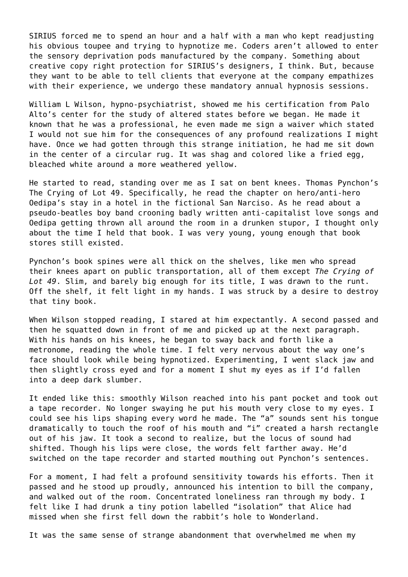SIRIUS forced me to spend an hour and a half with a man who kept readjusting his obvious toupee and trying to hypnotize me. Coders aren't allowed to enter the sensory deprivation pods manufactured by the company. Something about creative copy right protection for SIRIUS's designers, I think. But, because they want to be able to tell clients that everyone at the company empathizes with their experience, we undergo these mandatory annual hypnosis sessions.

William L Wilson, hypno-psychiatrist, showed me his certification from Palo Alto's center for the study of altered states before we began. He made it known that he was a professional, he even made me sign a waiver which stated I would not sue him for the consequences of any profound realizations I might have. Once we had gotten through this strange initiation, he had me sit down in the center of a circular rug. It was shag and colored like a fried egg, bleached white around a more weathered yellow.

He started to read, standing over me as I sat on bent knees. Thomas Pynchon's The Crying of Lot 49. Specifically, he read the chapter on hero/anti-hero Oedipa's stay in a hotel in the fictional San Narciso. As he read about a pseudo-beatles boy band crooning badly written anti-capitalist love songs and Oedipa getting thrown all around the room in a drunken stupor, I thought only about the time I held that book. I was very young, young enough that book stores still existed.

Pynchon's book spines were all thick on the shelves, like men who spread their knees apart on public transportation, all of them except *The Crying of Lot 49*. Slim, and barely big enough for its title, I was drawn to the runt. Off the shelf, it felt light in my hands. I was struck by a desire to destroy that tiny book.

When Wilson stopped reading, I stared at him expectantly. A second passed and then he squatted down in front of me and picked up at the next paragraph. With his hands on his knees, he began to sway back and forth like a metronome, reading the whole time. I felt very nervous about the way one's face should look while being hypnotized. Experimenting, I went slack jaw and then slightly cross eyed and for a moment I shut my eyes as if I'd fallen into a deep dark slumber.

It ended like this: smoothly Wilson reached into his pant pocket and took out a tape recorder. No longer swaying he put his mouth very close to my eyes. I could see his lips shaping every word he made. The "a" sounds sent his tongue dramatically to touch the roof of his mouth and "i" created a harsh rectangle out of his jaw. It took a second to realize, but the locus of sound had shifted. Though his lips were close, the words felt farther away. He'd switched on the tape recorder and started mouthing out Pynchon's sentences.

For a moment, I had felt a profound sensitivity towards his efforts. Then it passed and he stood up proudly, announced his intention to bill the company, and walked out of the room. Concentrated loneliness ran through my body. I felt like I had drunk a tiny potion labelled "isolation" that Alice had missed when she first fell down the rabbit's hole to Wonderland.

It was the same sense of strange abandonment that overwhelmed me when my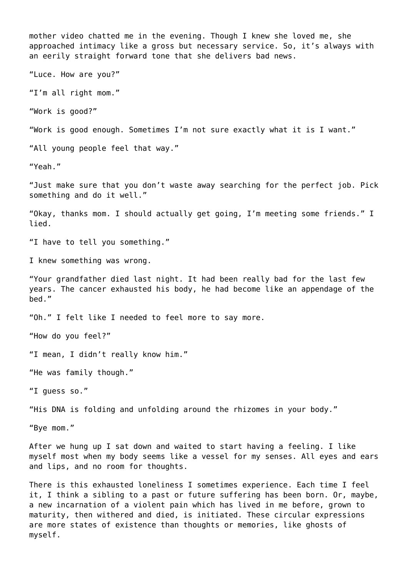mother video chatted me in the evening. Though I knew she loved me, she approached intimacy like a gross but necessary service. So, it's always with an eerily straight forward tone that she delivers bad news. "Luce. How are you?" "I'm all right mom." "Work is good?" "Work is good enough. Sometimes I'm not sure exactly what it is I want." "All young people feel that way." "Yeah." "Just make sure that you don't waste away searching for the perfect job. Pick something and do it well." "Okay, thanks mom. I should actually get going, I'm meeting some friends." I lied. "I have to tell you something." I knew something was wrong. "Your grandfather died last night. It had been really bad for the last few years. The cancer exhausted his body, he had become like an appendage of the bed." "Oh." I felt like I needed to feel more to say more. "How do you feel?" "I mean, I didn't really know him." "He was family though." "I guess so." "His DNA is folding and unfolding around the rhizomes in your body." "Bye mom." After we hung up I sat down and waited to start having a feeling. I like myself most when my body seems like a vessel for my senses. All eyes and ears and lips, and no room for thoughts. There is this exhausted loneliness I sometimes experience. Each time I feel it, I think a sibling to a past or future suffering has been born. Or, maybe, a new incarnation of a violent pain which has lived in me before, grown to

maturity, then withered and died, is initiated. These circular expressions are more states of existence than thoughts or memories, like ghosts of myself.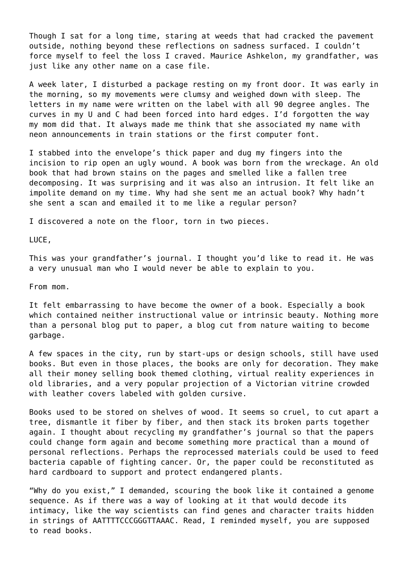Though I sat for a long time, staring at weeds that had cracked the pavement outside, nothing beyond these reflections on sadness surfaced. I couldn't force myself to feel the loss I craved. Maurice Ashkelon, my grandfather, was just like any other name on a case file.

A week later, I disturbed a package resting on my front door. It was early in the morning, so my movements were clumsy and weighed down with sleep. The letters in my name were written on the label with all 90 degree angles. The curves in my U and C had been forced into hard edges. I'd forgotten the way my mom did that. It always made me think that she associated my name with neon announcements in train stations or the first computer font.

I stabbed into the envelope's thick paper and dug my fingers into the incision to rip open an ugly wound. A book was born from the wreckage. An old book that had brown stains on the pages and smelled like a fallen tree decomposing. It was surprising and it was also an intrusion. It felt like an impolite demand on my time. Why had she sent me an actual book? Why hadn't she sent a scan and emailed it to me like a regular person?

I discovered a note on the floor, torn in two pieces.

LUCE,

This was your grandfather's journal. I thought you'd like to read it. He was a very unusual man who I would never be able to explain to you.

From mom.

It felt embarrassing to have become the owner of a book. Especially a book which contained neither instructional value or intrinsic beauty. Nothing more than a personal blog put to paper, a blog cut from nature waiting to become garbage.

A few spaces in the city, run by start-ups or design schools, still have used books. But even in those places, the books are only for decoration. They make all their money selling book themed clothing, virtual reality experiences in old libraries, and a very popular projection of a Victorian vitrine crowded with leather covers labeled with golden cursive.

Books used to be stored on shelves of wood. It seems so cruel, to cut apart a tree, dismantle it fiber by fiber, and then stack its broken parts together again. I thought about recycling my grandfather's journal so that the papers could change form again and become something more practical than a mound of personal reflections. Perhaps the reprocessed materials could be used to feed bacteria capable of fighting cancer. Or, the paper could be reconstituted as hard cardboard to support and protect endangered plants.

"Why do you exist," I demanded, scouring the book like it contained a genome sequence. As if there was a way of looking at it that would decode its intimacy, like the way scientists can find genes and character traits hidden in strings of AATTTTCCCGGGTTAAAC. Read, I reminded myself, you are supposed to read books.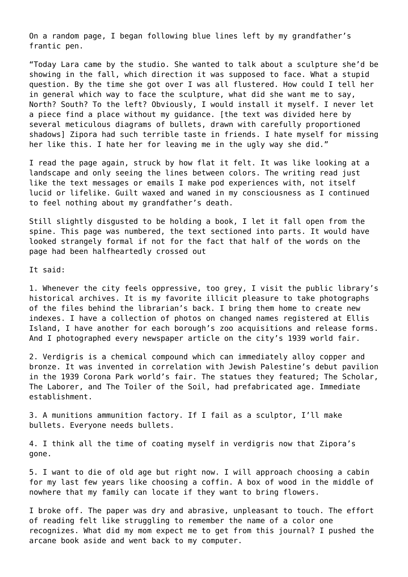On a random page, I began following blue lines left by my grandfather's frantic pen.

"Today Lara came by the studio. She wanted to talk about a sculpture she'd be showing in the fall, which direction it was supposed to face. What a stupid question. By the time she got over I was all flustered. How could I tell her in general which way to face the sculpture, what did she want me to say, North? South? To the left? Obviously, I would install it myself. I never let a piece find a place without my guidance. [the text was divided here by several meticulous diagrams of bullets, drawn with carefully proportioned shadows] Zipora had such terrible taste in friends. I hate myself for missing her like this. I hate her for leaving me in the ugly way she did."

I read the page again, struck by how flat it felt. It was like looking at a landscape and only seeing the lines between colors. The writing read just like the text messages or emails I make pod experiences with, not itself lucid or lifelike. Guilt waxed and waned in my consciousness as I continued to feel nothing about my grandfather's death.

Still slightly disgusted to be holding a book, I let it fall open from the spine. This page was numbered, the text sectioned into parts. It would have looked strangely formal if not for the fact that half of the words on the page had been halfheartedly crossed out

It said:

1. Whenever the city feels oppressive, too grey, I visit the public library's historical archives. It is my favorite illicit pleasure to take photographs of the files behind the librarian's back. I bring them home to create new indexes. I have a collection of photos on changed names registered at Ellis Island, I have another for each borough's zoo acquisitions and release forms. And I photographed every newspaper article on the city's 1939 world fair.

2. Verdigris is a chemical compound which can immediately alloy copper and bronze. It was invented in correlation with Jewish Palestine's debut pavilion in the 1939 Corona Park world's fair. The statues they featured; The Scholar, The Laborer, and The Toiler of the Soil, had prefabricated age. Immediate establishment.

3. A munitions ammunition factory. If I fail as a sculptor, I'll make bullets. Everyone needs bullets.

4. I think all the time of coating myself in verdigris now that Zipora's gone.

5. I want to die of old age but right now. I will approach choosing a cabin for my last few years like choosing a coffin. A box of wood in the middle of nowhere that my family can locate if they want to bring flowers.

I broke off. The paper was dry and abrasive, unpleasant to touch. The effort of reading felt like struggling to remember the name of a color one recognizes. What did my mom expect me to get from this journal? I pushed the arcane book aside and went back to my computer.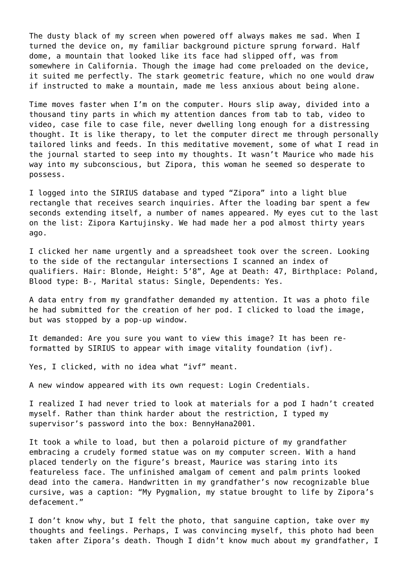The dusty black of my screen when powered off always makes me sad. When I turned the device on, my familiar background picture sprung forward. Half dome, a mountain that looked like its face had slipped off, was from somewhere in California. Though the image had come preloaded on the device, it suited me perfectly. The stark geometric feature, which no one would draw if instructed to make a mountain, made me less anxious about being alone.

Time moves faster when I'm on the computer. Hours slip away, divided into a thousand tiny parts in which my attention dances from tab to tab, video to video, case file to case file, never dwelling long enough for a distressing thought. It is like therapy, to let the computer direct me through personally tailored links and feeds. In this meditative movement, some of what I read in the journal started to seep into my thoughts. It wasn't Maurice who made his way into my subconscious, but Zipora, this woman he seemed so desperate to possess.

I logged into the SIRIUS database and typed "Zipora" into a light blue rectangle that receives search inquiries. After the loading bar spent a few seconds extending itself, a number of names appeared. My eyes cut to the last on the list: Zipora Kartujinsky. We had made her a pod almost thirty years ago.

I clicked her name urgently and a spreadsheet took over the screen. Looking to the side of the rectangular intersections I scanned an index of qualifiers. Hair: Blonde, Height: 5'8", Age at Death: 47, Birthplace: Poland, Blood type: B-, Marital status: Single, Dependents: Yes.

A data entry from my grandfather demanded my attention. It was a photo file he had submitted for the creation of her pod. I clicked to load the image, but was stopped by a pop-up window.

It demanded: Are you sure you want to view this image? It has been reformatted by SIRIUS to appear with image vitality foundation (ivf).

Yes, I clicked, with no idea what "ivf" meant.

A new window appeared with its own request: Login Credentials.

I realized I had never tried to look at materials for a pod I hadn't created myself. Rather than think harder about the restriction, I typed my supervisor's password into the box: BennyHana2001.

It took a while to load, but then a polaroid picture of my grandfather embracing a crudely formed statue was on my computer screen. With a hand placed tenderly on the figure's breast, Maurice was staring into its featureless face. The unfinished amalgam of cement and palm prints looked dead into the camera. Handwritten in my grandfather's now recognizable blue cursive, was a caption: "My Pygmalion, my statue brought to life by Zipora's defacement."

I don't know why, but I felt the photo, that sanguine caption, take over my thoughts and feelings. Perhaps, I was convincing myself, this photo had been taken after Zipora's death. Though I didn't know much about my grandfather, I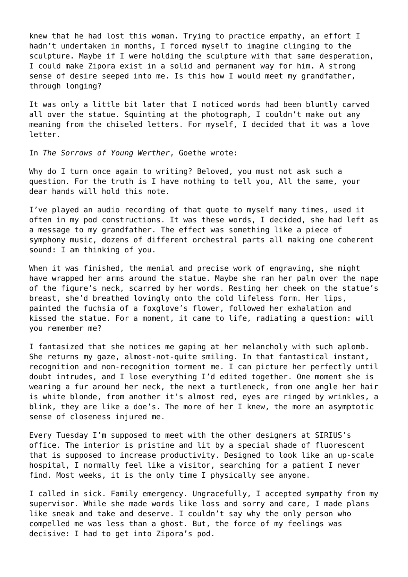knew that he had lost this woman. Trying to practice empathy, an effort I hadn't undertaken in months, I forced myself to imagine clinging to the sculpture. Maybe if I were holding the sculpture with that same desperation, I could make Zipora exist in a solid and permanent way for him. A strong sense of desire seeped into me. Is this how I would meet my grandfather, through longing?

It was only a little bit later that I noticed words had been bluntly carved all over the statue. Squinting at the photograph, I couldn't make out any meaning from the chiseled letters. For myself, I decided that it was a love letter.

In *The Sorrows of Young Werther*, Goethe wrote:

Why do I turn once again to writing? Beloved, you must not ask such a question. For the truth is I have nothing to tell you, All the same, your dear hands will hold this note.

I've played an audio recording of that quote to myself many times, used it often in my pod constructions. It was these words, I decided, she had left as a message to my grandfather. The effect was something like a piece of symphony music, dozens of different orchestral parts all making one coherent sound: I am thinking of you.

When it was finished, the menial and precise work of engraving, she might have wrapped her arms around the statue. Maybe she ran her palm over the nape of the figure's neck, scarred by her words. Resting her cheek on the statue's breast, she'd breathed lovingly onto the cold lifeless form. Her lips, painted the fuchsia of a foxglove's flower, followed her exhalation and kissed the statue. For a moment, it came to life, radiating a question: will you remember me?

I fantasized that she notices me gaping at her melancholy with such aplomb. She returns my gaze, almost-not-quite smiling. In that fantastical instant, recognition and non-recognition torment me. I can picture her perfectly until doubt intrudes, and I lose everything I'd edited together. One moment she is wearing a fur around her neck, the next a turtleneck, from one angle her hair is white blonde, from another it's almost red, eyes are ringed by wrinkles, a blink, they are like a doe's. The more of her I knew, the more an asymptotic sense of closeness injured me.

Every Tuesday I'm supposed to meet with the other designers at SIRIUS's office. The interior is pristine and lit by a special shade of fluorescent that is supposed to increase productivity. Designed to look like an up-scale hospital, I normally feel like a visitor, searching for a patient I never find. Most weeks, it is the only time I physically see anyone.

I called in sick. Family emergency. Ungracefully, I accepted sympathy from my supervisor. While she made words like loss and sorry and care, I made plans like sneak and take and deserve. I couldn't say why the only person who compelled me was less than a ghost. But, the force of my feelings was decisive: I had to get into Zipora's pod.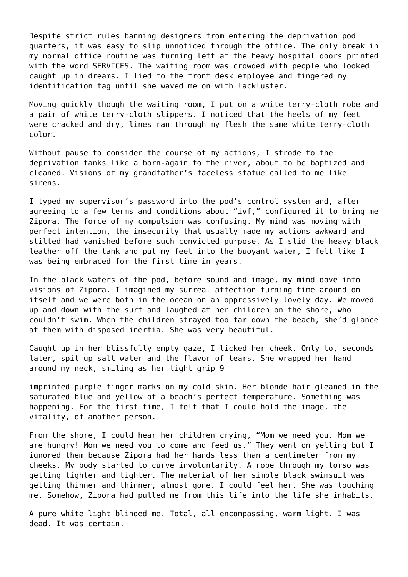Despite strict rules banning designers from entering the deprivation pod quarters, it was easy to slip unnoticed through the office. The only break in my normal office routine was turning left at the heavy hospital doors printed with the word SERVICES. The waiting room was crowded with people who looked caught up in dreams. I lied to the front desk employee and fingered my identification tag until she waved me on with lackluster.

Moving quickly though the waiting room, I put on a white terry-cloth robe and a pair of white terry-cloth slippers. I noticed that the heels of my feet were cracked and dry, lines ran through my flesh the same white terry-cloth color.

Without pause to consider the course of my actions, I strode to the deprivation tanks like a born-again to the river, about to be baptized and cleaned. Visions of my grandfather's faceless statue called to me like sirens.

I typed my supervisor's password into the pod's control system and, after agreeing to a few terms and conditions about "ivf," configured it to bring me Zipora. The force of my compulsion was confusing. My mind was moving with perfect intention, the insecurity that usually made my actions awkward and stilted had vanished before such convicted purpose. As I slid the heavy black leather off the tank and put my feet into the buoyant water, I felt like I was being embraced for the first time in years.

In the black waters of the pod, before sound and image, my mind dove into visions of Zipora. I imagined my surreal affection turning time around on itself and we were both in the ocean on an oppressively lovely day. We moved up and down with the surf and laughed at her children on the shore, who couldn't swim. When the children strayed too far down the beach, she'd glance at them with disposed inertia. She was very beautiful.

Caught up in her blissfully empty gaze, I licked her cheek. Only to, seconds later, spit up salt water and the flavor of tears. She wrapped her hand around my neck, smiling as her tight grip 9

imprinted purple finger marks on my cold skin. Her blonde hair gleaned in the saturated blue and yellow of a beach's perfect temperature. Something was happening. For the first time, I felt that I could hold the image, the vitality, of another person.

From the shore, I could hear her children crying, "Mom we need you. Mom we are hungry! Mom we need you to come and feed us." They went on yelling but I ignored them because Zipora had her hands less than a centimeter from my cheeks. My body started to curve involuntarily. A rope through my torso was getting tighter and tighter. The material of her simple black swimsuit was getting thinner and thinner, almost gone. I could feel her. She was touching me. Somehow, Zipora had pulled me from this life into the life she inhabits.

A pure white light blinded me. Total, all encompassing, warm light. I was dead. It was certain.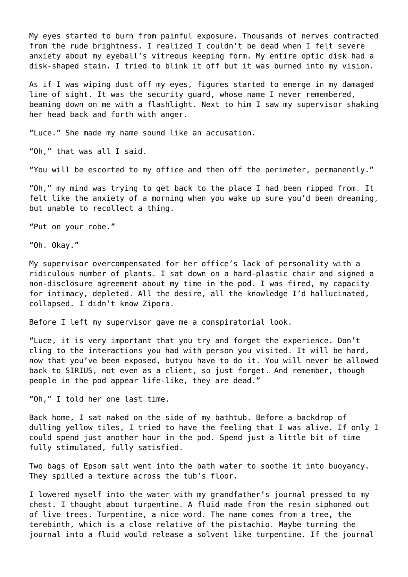My eyes started to burn from painful exposure. Thousands of nerves contracted from the rude brightness. I realized I couldn't be dead when I felt severe anxiety about my eyeball's vitreous keeping form. My entire optic disk had a disk-shaped stain. I tried to blink it off but it was burned into my vision.

As if I was wiping dust off my eyes, figures started to emerge in my damaged line of sight. It was the security guard, whose name I never remembered, beaming down on me with a flashlight. Next to him I saw my supervisor shaking her head back and forth with anger.

"Luce." She made my name sound like an accusation.

"Oh," that was all I said.

"You will be escorted to my office and then off the perimeter, permanently."

"Oh," my mind was trying to get back to the place I had been ripped from. It felt like the anxiety of a morning when you wake up sure you'd been dreaming, but unable to recollect a thing.

"Put on your robe."

"Oh. Okay."

My supervisor overcompensated for her office's lack of personality with a ridiculous number of plants. I sat down on a hard-plastic chair and signed a non-disclosure agreement about my time in the pod. I was fired, my capacity for intimacy, depleted. All the desire, all the knowledge I'd hallucinated, collapsed. I didn't know Zipora.

Before I left my supervisor gave me a conspiratorial look.

"Luce, it is very important that you try and forget the experience. Don't cling to the interactions you had with person you visited. It will be hard, now that you've been exposed, butyou have to do it. You will never be allowed back to SIRIUS, not even as a client, so just forget. And remember, though people in the pod appear life-like, they are dead."

"Oh," I told her one last time.

Back home, I sat naked on the side of my bathtub. Before a backdrop of dulling yellow tiles, I tried to have the feeling that I was alive. If only I could spend just another hour in the pod. Spend just a little bit of time fully stimulated, fully satisfied.

Two bags of Epsom salt went into the bath water to soothe it into buoyancy. They spilled a texture across the tub's floor.

I lowered myself into the water with my grandfather's journal pressed to my chest. I thought about turpentine. A fluid made from the resin siphoned out of live trees. Turpentine, a nice word. The name comes from a tree, the terebinth, which is a close relative of the pistachio. Maybe turning the journal into a fluid would release a solvent like turpentine. If the journal